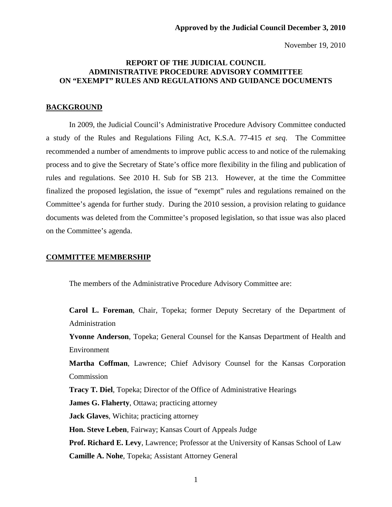November 19, 2010

# **REPORT OF THE JUDICIAL COUNCIL ADMINISTRATIVE PROCEDURE ADVISORY COMMITTEE ON "EXEMPT" RULES AND REGULATIONS AND GUIDANCE DOCUMENTS**

# **BACKGROUND**

 In 2009, the Judicial Council's Administrative Procedure Advisory Committee conducted a study of the Rules and Regulations Filing Act, K.S.A. 77-415 *et seq*. The Committee recommended a number of amendments to improve public access to and notice of the rulemaking process and to give the Secretary of State's office more flexibility in the filing and publication of rules and regulations. See 2010 H. Sub for SB 213. However, at the time the Committee finalized the proposed legislation, the issue of "exempt" rules and regulations remained on the Committee's agenda for further study. During the 2010 session, a provision relating to guidance documents was deleted from the Committee's proposed legislation, so that issue was also placed on the Committee's agenda.

## **COMMITTEE MEMBERSHIP**

The members of the Administrative Procedure Advisory Committee are:

**Carol L. Foreman**, Chair, Topeka; former Deputy Secretary of the Department of Administration

**Yvonne Anderson**, Topeka; General Counsel for the Kansas Department of Health and Environment

**Martha Coffman**, Lawrence; Chief Advisory Counsel for the Kansas Corporation Commission

**Tracy T. Diel**, Topeka; Director of the Office of Administrative Hearings

**James G. Flaherty**, Ottawa; practicing attorney

**Jack Glaves**, Wichita; practicing attorney

**Hon. Steve Leben**, Fairway; Kansas Court of Appeals Judge

**Prof. Richard E. Levy**, Lawrence; Professor at the University of Kansas School of Law **Camille A. Nohe**, Topeka; Assistant Attorney General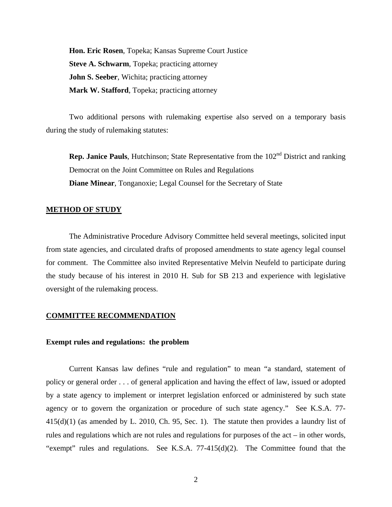**Hon. Eric Rosen**, Topeka; Kansas Supreme Court Justice **Steve A. Schwarm**, Topeka; practicing attorney **John S. Seeber**, Wichita; practicing attorney **Mark W. Stafford**, Topeka; practicing attorney

 Two additional persons with rulemaking expertise also served on a temporary basis during the study of rulemaking statutes:

**Rep. Janice Pauls**, Hutchinson; State Representative from the 102<sup>nd</sup> District and ranking Democrat on the Joint Committee on Rules and Regulations **Diane Minear**, Tonganoxie; Legal Counsel for the Secretary of State

#### **METHOD OF STUDY**

 The Administrative Procedure Advisory Committee held several meetings, solicited input from state agencies, and circulated drafts of proposed amendments to state agency legal counsel for comment. The Committee also invited Representative Melvin Neufeld to participate during the study because of his interest in 2010 H. Sub for SB 213 and experience with legislative oversight of the rulemaking process.

#### **COMMITTEE RECOMMENDATION**

### **Exempt rules and regulations: the problem**

Current Kansas law defines "rule and regulation" to mean "a standard, statement of policy or general order . . . of general application and having the effect of law, issued or adopted by a state agency to implement or interpret legislation enforced or administered by such state agency or to govern the organization or procedure of such state agency." See K.S.A. 77- 415(d)(1) (as amended by L. 2010, Ch. 95, Sec. 1). The statute then provides a laundry list of rules and regulations which are not rules and regulations for purposes of the act – in other words, "exempt" rules and regulations. See K.S.A. 77-415(d)(2). The Committee found that the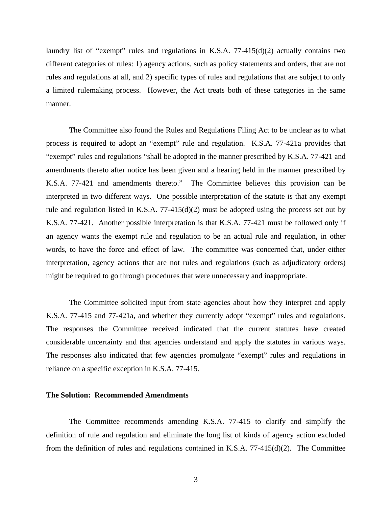laundry list of "exempt" rules and regulations in K.S.A.  $77-415(d)(2)$  actually contains two different categories of rules: 1) agency actions, such as policy statements and orders, that are not rules and regulations at all, and 2) specific types of rules and regulations that are subject to only a limited rulemaking process. However, the Act treats both of these categories in the same manner.

 The Committee also found the Rules and Regulations Filing Act to be unclear as to what process is required to adopt an "exempt" rule and regulation. K.S.A. 77-421a provides that "exempt" rules and regulations "shall be adopted in the manner prescribed by K.S.A. 77-421 and amendments thereto after notice has been given and a hearing held in the manner prescribed by K.S.A. 77-421 and amendments thereto." The Committee believes this provision can be interpreted in two different ways. One possible interpretation of the statute is that any exempt rule and regulation listed in K.S.A. 77-415(d)(2) must be adopted using the process set out by K.S.A. 77-421. Another possible interpretation is that K.S.A. 77-421 must be followed only if an agency wants the exempt rule and regulation to be an actual rule and regulation, in other words, to have the force and effect of law. The committee was concerned that, under either interpretation, agency actions that are not rules and regulations (such as adjudicatory orders) might be required to go through procedures that were unnecessary and inappropriate.

 The Committee solicited input from state agencies about how they interpret and apply K.S.A. 77-415 and 77-421a, and whether they currently adopt "exempt" rules and regulations. The responses the Committee received indicated that the current statutes have created considerable uncertainty and that agencies understand and apply the statutes in various ways. The responses also indicated that few agencies promulgate "exempt" rules and regulations in reliance on a specific exception in K.S.A. 77-415.

# **The Solution: Recommended Amendments**

The Committee recommends amending K.S.A. 77-415 to clarify and simplify the definition of rule and regulation and eliminate the long list of kinds of agency action excluded from the definition of rules and regulations contained in K.S.A. 77-415(d)(2). The Committee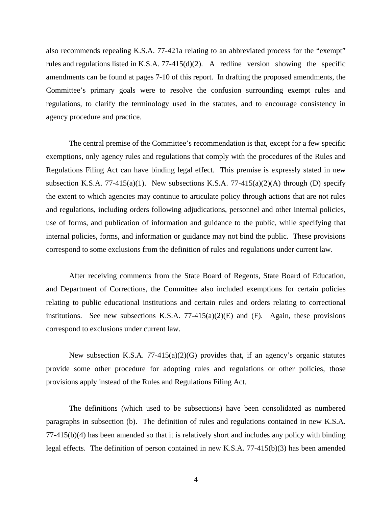also recommends repealing K.S.A. 77-421a relating to an abbreviated process for the "exempt" rules and regulations listed in K.S.A. 77-415(d)(2). A redline version showing the specific amendments can be found at pages 7-10 of this report. In drafting the proposed amendments, the Committee's primary goals were to resolve the confusion surrounding exempt rules and regulations, to clarify the terminology used in the statutes, and to encourage consistency in agency procedure and practice.

 The central premise of the Committee's recommendation is that, except for a few specific exemptions, only agency rules and regulations that comply with the procedures of the Rules and Regulations Filing Act can have binding legal effect. This premise is expressly stated in new subsection K.S.A. 77-415(a)(1). New subsections K.S.A. 77-415(a)(2)(A) through (D) specify the extent to which agencies may continue to articulate policy through actions that are not rules and regulations, including orders following adjudications, personnel and other internal policies, use of forms, and publication of information and guidance to the public, while specifying that internal policies, forms, and information or guidance may not bind the public. These provisions correspond to some exclusions from the definition of rules and regulations under current law.

 After receiving comments from the State Board of Regents, State Board of Education, and Department of Corrections, the Committee also included exemptions for certain policies relating to public educational institutions and certain rules and orders relating to correctional institutions. See new subsections K.S.A.  $77-415(a)(2)(E)$  and  $(F)$ . Again, these provisions correspond to exclusions under current law.

 New subsection K.S.A. 77-415(a)(2)(G) provides that, if an agency's organic statutes provide some other procedure for adopting rules and regulations or other policies, those provisions apply instead of the Rules and Regulations Filing Act.

 The definitions (which used to be subsections) have been consolidated as numbered paragraphs in subsection (b). The definition of rules and regulations contained in new K.S.A. 77-415(b)(4) has been amended so that it is relatively short and includes any policy with binding legal effects. The definition of person contained in new K.S.A. 77-415(b)(3) has been amended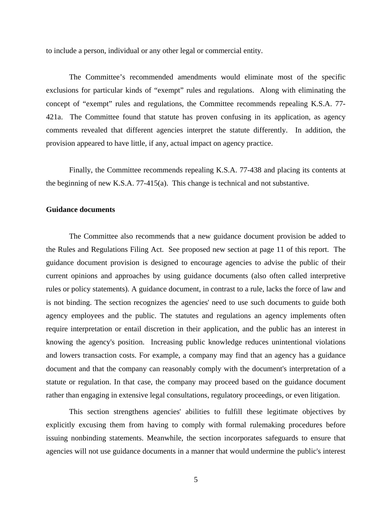to include a person, individual or any other legal or commercial entity.

 The Committee's recommended amendments would eliminate most of the specific exclusions for particular kinds of "exempt" rules and regulations. Along with eliminating the concept of "exempt" rules and regulations, the Committee recommends repealing K.S.A. 77- 421a. The Committee found that statute has proven confusing in its application, as agency comments revealed that different agencies interpret the statute differently. In addition, the provision appeared to have little, if any, actual impact on agency practice.

 Finally, the Committee recommends repealing K.S.A. 77-438 and placing its contents at the beginning of new K.S.A. 77-415(a). This change is technical and not substantive.

### **Guidance documents**

 The Committee also recommends that a new guidance document provision be added to the Rules and Regulations Filing Act. See proposed new section at page 11 of this report. The guidance document provision is designed to encourage agencies to advise the public of their current opinions and approaches by using guidance documents (also often called interpretive rules or policy statements). A guidance document, in contrast to a rule, lacks the force of law and is not binding. The section recognizes the agencies' need to use such documents to guide both agency employees and the public. The statutes and regulations an agency implements often require interpretation or entail discretion in their application, and the public has an interest in knowing the agency's position. Increasing public knowledge reduces unintentional violations and lowers transaction costs. For example, a company may find that an agency has a guidance document and that the company can reasonably comply with the document's interpretation of a statute or regulation. In that case, the company may proceed based on the guidance document rather than engaging in extensive legal consultations, regulatory proceedings, or even litigation.

 This section strengthens agencies' abilities to fulfill these legitimate objectives by explicitly excusing them from having to comply with formal rulemaking procedures before issuing nonbinding statements. Meanwhile, the section incorporates safeguards to ensure that agencies will not use guidance documents in a manner that would undermine the public's interest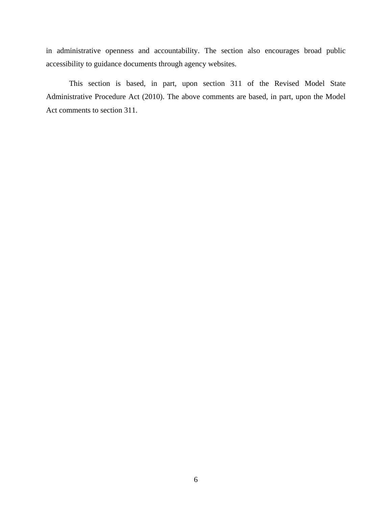in administrative openness and accountability. The section also encourages broad public accessibility to guidance documents through agency websites.

 This section is based, in part, upon section 311 of the Revised Model State Administrative Procedure Act (2010). The above comments are based, in part, upon the Model Act comments to section 311.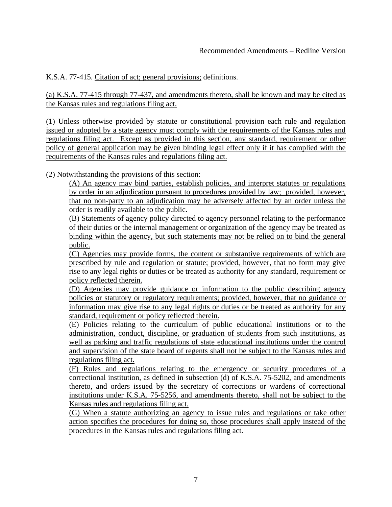K.S.A. 77-415. Citation of act; general provisions; definitions.

(a) K.S.A. 77-415 through 77-437, and amendments thereto, shall be known and may be cited as the Kansas rules and regulations filing act.

(1) Unless otherwise provided by statute or constitutional provision each rule and regulation issued or adopted by a state agency must comply with the requirements of the Kansas rules and regulations filing act. Except as provided in this section, any standard, requirement or other policy of general application may be given binding legal effect only if it has complied with the requirements of the Kansas rules and regulations filing act.

(2) Notwithstanding the provisions of this section:

(A) An agency may bind parties, establish policies, and interpret statutes or regulations by order in an adjudication pursuant to procedures provided by law; provided, however, that no non-party to an adjudication may be adversely affected by an order unless the order is readily available to the public.

(B) Statements of agency policy directed to agency personnel relating to the performance of their duties or the internal management or organization of the agency may be treated as binding within the agency, but such statements may not be relied on to bind the general public.

(C) Agencies may provide forms, the content or substantive requirements of which are prescribed by rule and regulation or statute; provided, however, that no form may give rise to any legal rights or duties or be treated as authority for any standard, requirement or policy reflected therein.

(D) Agencies may provide guidance or information to the public describing agency policies or statutory or regulatory requirements; provided, however, that no guidance or information may give rise to any legal rights or duties or be treated as authority for any standard, requirement or policy reflected therein.

(E) Policies relating to the curriculum of public educational institutions or to the administration, conduct, discipline, or graduation of students from such institutions, as well as parking and traffic regulations of state educational institutions under the control and supervision of the state board of regents shall not be subject to the Kansas rules and regulations filing act.

(F) Rules and regulations relating to the emergency or security procedures of a correctional institution, as defined in subsection (d) of K.S.A. 75-5202, and amendments thereto, and orders issued by the secretary of corrections or wardens of correctional institutions under K.S.A. 75-5256, and amendments thereto, shall not be subject to the Kansas rules and regulations filing act.

(G) When a statute authorizing an agency to issue rules and regulations or take other action specifies the procedures for doing so, those procedures shall apply instead of the procedures in the Kansas rules and regulations filing act.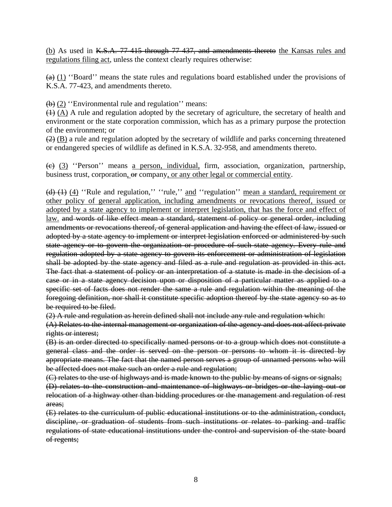(b) As used in K.S.A. 77-415 through 77-437, and amendments thereto the Kansas rules and regulations filing act, unless the context clearly requires otherwise:

 $(a)$  (1) "Board" means the state rules and regulations board established under the provisions of K.S.A. 77-423, and amendments thereto.

(b) (2) ''Environmental rule and regulation'' means:

 $(1)$   $(A)$  A rule and regulation adopted by the secretary of agriculture, the secretary of health and environment or the state corporation commission, which has as a primary purpose the protection of the environment; or

 $(2)$  (B) a rule and regulation adopted by the secretary of wildlife and parks concerning threatened or endangered species of wildlife as defined in K.S.A. 32-958, and amendments thereto.

(c) (3) ''Person'' means a person, individual, firm, association, organization, partnership, business trust, corporation,  $\Theta$  company, or any other legal or commercial entity.

(d) (1) (4) ''Rule and regulation,'' "rule," and "regulation" mean a standard, requirement or other policy of general application, including amendments or revocations thereof, issued or adopted by a state agency to implement or interpret legislation, that has the force and effect of law. and words of like effect mean a standard, statement of policy or general order, including amendments or revocations thereof, of general application and having the effect of law, issued or adopted by a state agency to implement or interpret legislation enforced or administered by such state agency or to govern the organization or procedure of such state agency. Every rule and regulation adopted by a state agency to govern its enforcement or administration of legislation shall be adopted by the state agency and filed as a rule and regulation as provided in this act. The fact that a statement of policy or an interpretation of a statute is made in the decision of a case or in a state agency decision upon or disposition of a particular matter as applied to a specific set of facts does not render the same a rule and regulation within the meaning of the foregoing definition, nor shall it constitute specific adoption thereof by the state agency so as to be required to be filed.

(2) A rule and regulation as herein defined shall not include any rule and regulation which:

(A) Relates to the internal management or organization of the agency and does not affect private rights or interest;

(B) is an order directed to specifically named persons or to a group which does not constitute a general class and the order is served on the person or persons to whom it is directed by appropriate means. The fact that the named person serves a group of unnamed persons who will be affected does not make such an order a rule and regulation;

(C) relates to the use of highways and is made known to the public by means of signs or signals; (D) relates to the construction and maintenance of highways or bridges or the laying out or relocation of a highway other than bidding procedures or the management and regulation of rest areas;

(E) relates to the curriculum of public educational institutions or to the administration, conduct, discipline, or graduation of students from such institutions or relates to parking and traffic regulations of state educational institutions under the control and supervision of the state board of regents;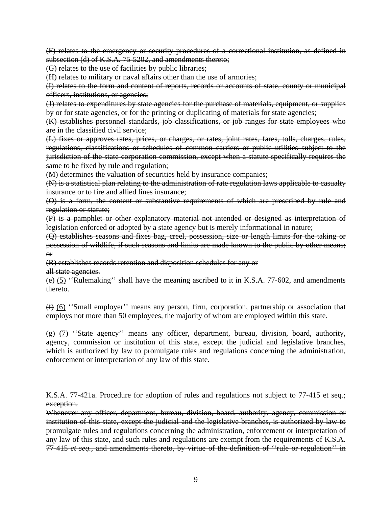(F) relates to the emergency or security procedures of a correctional institution, as defined in subsection (d) of K.S.A. 75-5202, and amendments thereto;

(G) relates to the use of facilities by public libraries;

(H) relates to military or naval affairs other than the use of armories;

(I) relates to the form and content of reports, records or accounts of state, county or municipal officers, institutions, or agencies;

(J) relates to expenditures by state agencies for the purchase of materials, equipment, or supplies by or for state agencies, or for the printing or duplicating of materials for state agencies;

(K) establishes personnel standards, job classifications, or job ranges for state employees who are in the classified civil service;

(L) fixes or approves rates, prices, or charges, or rates, joint rates, fares, tolls, charges, rules, regulations, classifications or schedules of common carriers or public utilities subject to the jurisdiction of the state corporation commission, except when a statute specifically requires the same to be fixed by rule and regulation;

(M) determines the valuation of securities held by insurance companies;

(N) is a statistical plan relating to the administration of rate regulation laws applicable to casualty insurance or to fire and allied lines insurance;

(O) is a form, the content or substantive requirements of which are prescribed by rule and regulation or statute;

(P) is a pamphlet or other explanatory material not intended or designed as interpretation of legislation enforced or adopted by a state agency but is merely informational in nature;

(Q) establishes seasons and fixes bag, creel, possession, size or length limits for the taking or possession of wildlife, if such seasons and limits are made known to the public by other means; or

(R) establishes records retention and disposition schedules for any or

all state agencies.

 $\leftrightarrow$  (5) "Rulemaking" shall have the meaning ascribed to it in K.S.A. 77-602, and amendments thereto.

(f) (6) ''Small employer'' means any person, firm, corporation, partnership or association that employs not more than 50 employees, the majority of whom are employed within this state.

 $\overline{(g)}$  (7) "State agency" means any officer, department, bureau, division, board, authority, agency, commission or institution of this state, except the judicial and legislative branches, which is authorized by law to promulgate rules and regulations concerning the administration, enforcement or interpretation of any law of this state.

K.S.A. 77-421a. Procedure for adoption of rules and regulations not subject to 77-415 et seq.; exception.

Whenever any officer, department, bureau, division, board, authority, agency, commission or institution of this state, except the judicial and the legislative branches, is authorized by law to promulgate rules and regulations concerning the administration, enforcement or interpretation of any law of this state, and such rules and regulations are exempt from the requirements of K.S.A. 77-415 *et seq.,* and amendments thereto, by virtue of the definition of ''rule or regulation'' in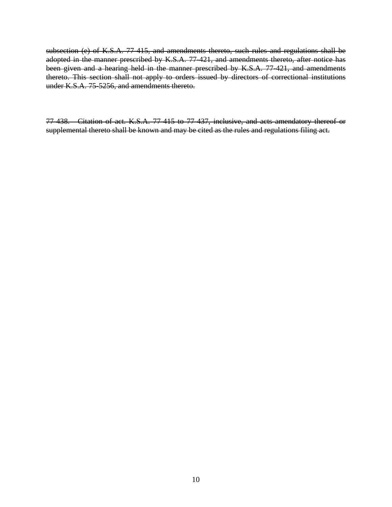subsection (e) of K.S.A. 77-415*,* and amendments thereto, such rules and regulations shall be adopted in the manner prescribed by K.S.A. 77-421*,* and amendments thereto*,* after notice has been given and a hearing held in the manner prescribed by K.S.A. 77-421*,* and amendments thereto. This section shall not apply to orders issued by directors of correctional institutions under K.S.A. 75-5256, and amendments thereto.

77-438. Citation of act. K.S.A. 77-415 to 77-437, inclusive, and acts amendatory thereof or supplemental thereto shall be known and may be cited as the rules and regulations filing act.